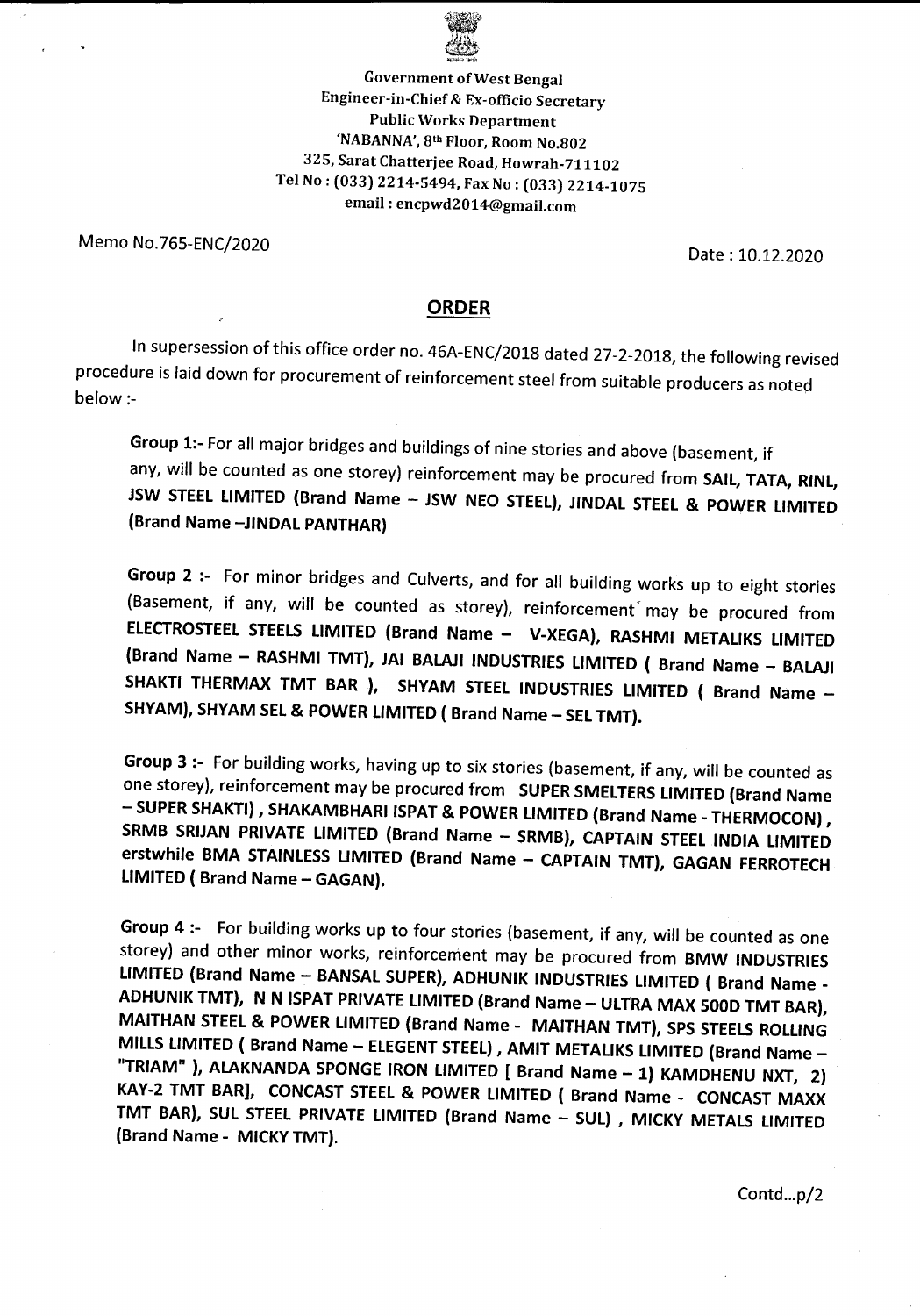

Government of West Bengal Engineer-in-Chief & Ex-officio Secretary Public Works Department 'NABANNA',8th Floor, Room No.802 325, Sarat Chatterjee Road, Howrah-711102 Tel No: (033) 2214-5494, Fax No: (033) 2214-1075 email: encpwd2014@gmail.com

Memo No.765-ENC/2020 Date: 10.12.2020

## **ORDER**

In supersession of this office order no. 46A-ENC/2018 dated 27-2-2018, the following revised procedure is laid down for procurement of reinforcement steel from suitable producers as noted below:-

Group 1:- For all major bridges and buildings of nine stories and above (basement, if any, will be counted as one storey) reinforcement may be procured from SAIL, TATA, RINL, JSW STEEL LIMITED (Brand Name - JSW NEO STEEL), JINDAL STEEL & POWER LIMITED (Brand Name -JINDAL PANTHAR)

Group 2 :- For minor bridges and Culverts, and for all building works up to eight stories (Basement, if any, will be counted as storey), reinforcement may be procured from ELECTROSTEEL STEELS LIMITED (Brand Name - V-XEGA), RASHMI METALIKS LIMITED (Brand Name - RASHMI TMT), JAI BALAJI INDUSTRIES LIMITED ( Brand Name - BALAJI SHAKTI THERMAX TMT BAR ), SHYAM STEEL INDUSTRIES LIMITED ( Brand Name -SHYAM), SHYAM SEL & POWER LIMITED ( Brand Name - SEL TMT).

Group 3:- For building works, having up to six stories (basement, if any, will be counted as one storey), reinforcement may be procured from SUPER SMELTERS LIMITED (Brand Name - SUPER SHAKTI), SHAKAMBHARI ISPAT & POWER LIMITED (Brand Name - THERMOCON), SRMB SRIJAN PRIVATE LIMITED (Brand Name - SRMB), CAPTAIN STEEL INDIA LIMITED erstwhile BMA STAINLESS LIMITED (Brand Name - CAPTAIN TMT), GAGAN FERROTECH LIMITED ( Brand Name - GAGAN).

Group 4:- For building works up to four stories (basement, if any, will be counted as one storey) and other minor works, reinforcement may be procured from BMW INDUSTRIES LIMITED (Brand Name - BANSAL SUPER), ADHUNIK INDUSTRIES LIMITED ( Brand Name -ADHUNIK TMT), N N ISPAT PRIVATE LIMITED (Brand Name - ULTRA MAX 500D TMT BAR), MAITHAN STEEL & POWER LIMITED (Brand Name - MAITHAN TMT), SPS STEELS ROLLING MILLS LIMITED ( Brand Name - ELEGENT STEEL), AMIT METALIKS LIMITED (Brand Name -"TRIAM" ), ALAKNANDA SPONGE IRON LIMITED [ Brand Name - 1) KAMDHENU NXT, 2) KAY-2 TMT BAR], CONCAST STEEL & POWER LIMITED ( Brand Name - CONCAST MAXX TMT BAR), SUL STEEL PRIVATE LIMITED (Brand Name - SUL) , MICKY METALS LIMITED (Brand Name - MICKYTMT).

Contd...p/2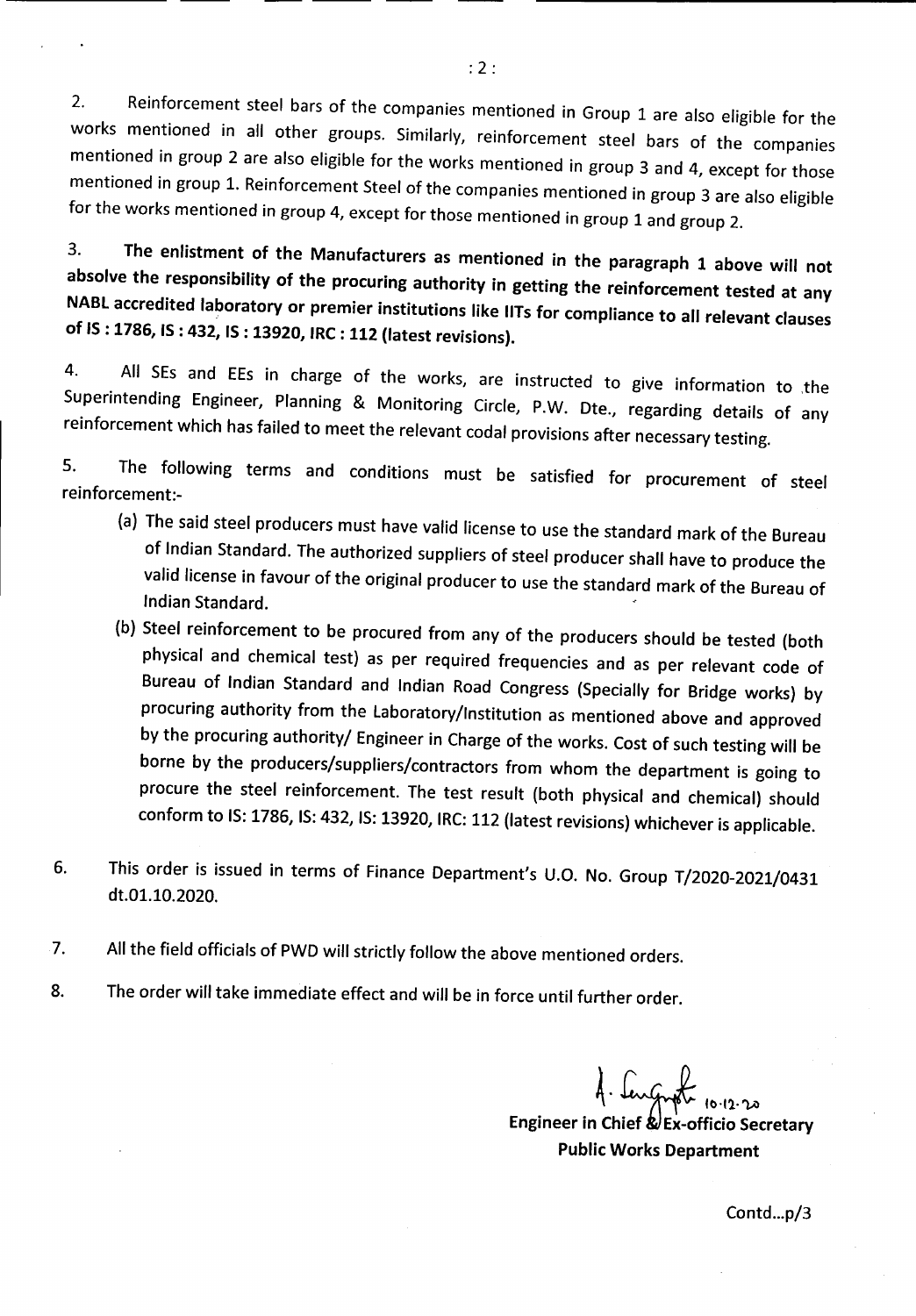2. Reinforcement steel bars of the companies mentioned in Group 1 are also eligible for the works mentioned in all other groups. Similarly, reinforcement steel bars of the companies mentioned in group 2 are also eligible for the works mentioned in group 3 and 4, except for those mentioned in group 1. Reinforcement Steel of the companies mentioned in group 3 are also eligible for the works mentioned in group 4, except for those mentioned in group 1 and group 2.

3. The enlistment of the Manufacturers as mentioned in the paragraph 1 above will not absolve the responsibility of the procuring authority in getting the reinforcement tested at any NABl accredited laboratory or premier institutions like IITs for compliance to all relevant clauses of IS: 1786, IS: 432, IS: 13920, IRC: 112 (latest revisions).

4. All SEs and EEs in charge of the works, are instructed to give information to the Superintending Engineer, Planning & Monitoring Circle, P.W. Dte., regarding details of any reinforcement which has failed to meet the relevant codal provisions after necessary testing.

5. The following terms and conditions must be satisfied for procurement of steel reinforcement:-

- (a) The said steel producers must have valid license to use the standard mark of the Bureau of Indian Standard. The authorized suppliers of steel producer shall have to produce the valid license in favour of the original producer to use the standard mark of the Bureau of Indian Standard.
- (b) Steel reinforcement to be procured from any of the producers should be tested (both physical and chemical test) as per required frequencies and as per relevant code of Bureau of Indian Standard and Indian Road Congress (Specially for Bridge works) by procuring authority from the laboratory/Institution as mentioned above and approved by the procuring authority/ Engineer in Charge of the works. Cost of such testing will be borne by the producers/suppliers/contractors from whom the department is going to procure the steel reinforcement. The test result (both physical and chemical) should conform to IS:1786, IS:432, IS:13920, IRC:112 (latest revisions) whichever is applicable.
- 6. This order is issued in terms of Finance Department's U.O. No. Group T/2020-2021/0431 dt.Ol.10.2020.
- 7. All the field officials of PWD will strictly follow the above mentioned orders.
- 8. The order will take immediate effect and will be in force until further order.

Contd...p/3